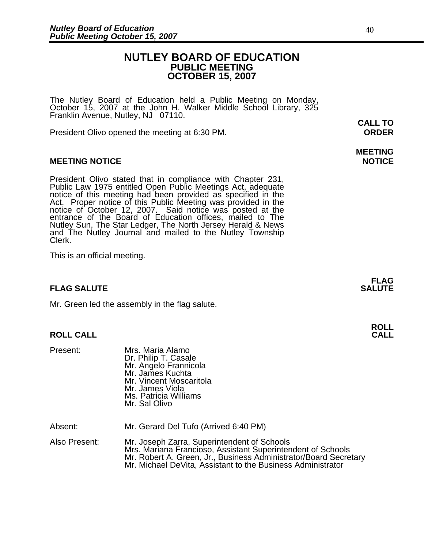## **NUTLEY BOARD OF EDUCATION PUBLIC MEETING OCTOBER 15, 2007**

The Nutley Board of Education held a Public Meeting on Monday, October 15, 2007 at the John H. Walker Middle School Library, 325 Franklin Avenue, Nutley, NJ 07110.

President Olivo opened the meeting at 6:30 PM. **ORDER**

### **MEETING NOTICE NOTICE REPORTS AND ALCOHOL**

President Olivo stated that in compliance with Chapter 231,<br>Public Law 1975 entitled Open Public Meetings Act, adequate<br>notice of this meeting had been provided as specified in the<br>Act. Proper notice of this Public Meeting and The Nutley Journal and mailed to the Nutley Township Clerk.

This is an official meeting.

## **FLAG SALUTE** SALUTE SALUTE SALUTE SALUTE SALUTE

Mr. Green led the assembly in the flag salute.

## **ROLL CALL**

| Present: | Mrs. Maria Alamo<br>Dr. Philip T. Casale<br>Mr. Angelo Frannicola<br>Mr. James Kuchta<br>Mr. Vincent Moscaritola<br>Mr. James Viola<br>Ms. Patricia Williams |
|----------|--------------------------------------------------------------------------------------------------------------------------------------------------------------|
|          | Mr. Sal Olivo                                                                                                                                                |

Absent: Mr. Gerard Del Tufo (Arrived 6:40 PM)

Also Present: Mr. Joseph Zarra, Superintendent of Schools<br>Mrs. Mariana Francioso, Assistant Superintendent of Schools Mr. Robert A. Green, Jr., Business Administrator/Board Secretary<br>Mr. Michael DeVita, Assistant to the Business Administrator

**CALL TO** 

# **MEETING**

**FLAG** 

**ROLL**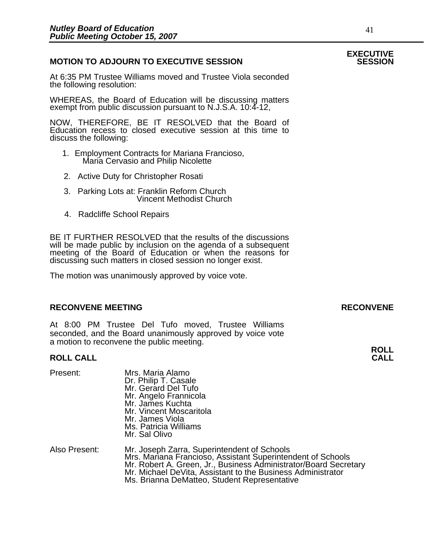## **MOTION TO ADJOURN TO EXECUTIVE SESSION**

At 6:35 PM Trustee Williams moved and Trustee Viola seconded the following resolution:

WHEREAS, the Board of Education will be discussing matters exempt from public discussion pursuant to N.J.S.A. 10:4-12,

NOW, THEREFORE, BE IT RESOLVED that the Board of Education recess to closed executive session at this time to discuss the following:

- 1. Employment Contracts for Mariana Francioso, Maria Cervasio and Philip Nicolette
- 2. Active Duty for Christopher Rosati
- 3. Parking Lots at: Franklin Reform Church Vincent Methodist Church
- 4. Radcliffe School Repairs

Present: Mrs. Maria Alamo

BE IT FURTHER RESOLVED that the results of the discussions will be made public by inclusion on the agenda of a subsequent meeting of the Board of Education or when the reasons for discussing such matters in closed session no longer exist.

The motion was unanimously approved by voice vote.

## **RECONVENE MEETING RECONVENE**

At 8:00 PM Trustee Del Tufo moved, Trustee Williams seconded, and the Board unanimously approved by voice vote a motion to reconvene the public meeting.

## **ROLL CALL**

|               | Dr. Philip T. Casale<br>Mr. Gerard Del Tufo<br>Mr. Angelo Frannicola<br>Mr. James Kuchta<br>Mr. Vincent Moscaritola<br>Mr. James Viola<br>Ms. Patricia Williams<br>Mr. Sal Olivo                                                                                                              |
|---------------|-----------------------------------------------------------------------------------------------------------------------------------------------------------------------------------------------------------------------------------------------------------------------------------------------|
| Also Present: | Mr. Joseph Zarra, Superintendent of Schools<br>Mrs. Mariana Francioso, Assistant Superintendent of Schools<br>Mr. Robert A. Green, Jr., Business Administrator/Board Secretary<br>Mr. Michael DeVita, Assistant to the Business Administrator<br>Ms. Brianna DeMatteo, Student Representative |

## **EXECUTIVE**

**ROLL**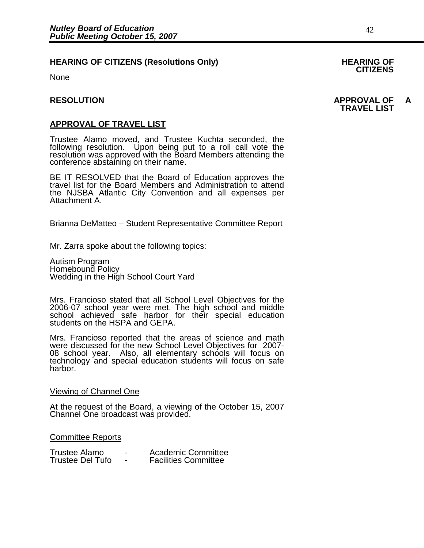## **HEARING OF CITIZENS (Resolutions Only) HEARING OF CITIZENS**

None

**APPROVAL OF TRAVEL LIST**<br>Trustee Alamo moved, and Trustee Kuchta seconded, the following resolution. Upon being put to a roll call vote the resolution was approved with the Board Members attending the conference abstaining on their name.

BE IT RESOLVED that the Board of Education approves the travel list for the Board Members and Administration to attend the NJSBA Atlantic City Convention and all expenses per Attachment A.

Brianna DeMatteo – Student Representative Committee Report

Mr. Zarra spoke about the following topics:

Autism Program Homebound Policy Wedding in the High School Court Yard

Mrs. Francioso stated that all School Level Objectives for the 2006-07 school year were met. The high school and middle school achieved safe harbor for their special education students on the HSPA and GEPA.

Mrs. Francioso reported that the areas of science and math were discussed for the new School Level Objectives for 2007-08 school year. Also, all elementary schools will focus on technology and special education students will focus on safe harbor.

### Viewing of Channel One

At the request of the Board, a viewing of the October 15, 2007 Channel One broadcast was provided.

Committee Reports

| Trustee Alamo    | -                        | Academic Committee          |
|------------------|--------------------------|-----------------------------|
| Trustee Del Tufo | $\overline{\phantom{0}}$ | <b>Facilities Committee</b> |

## **RESOLUTION APPROVAL OF A TRAVEL LIST**